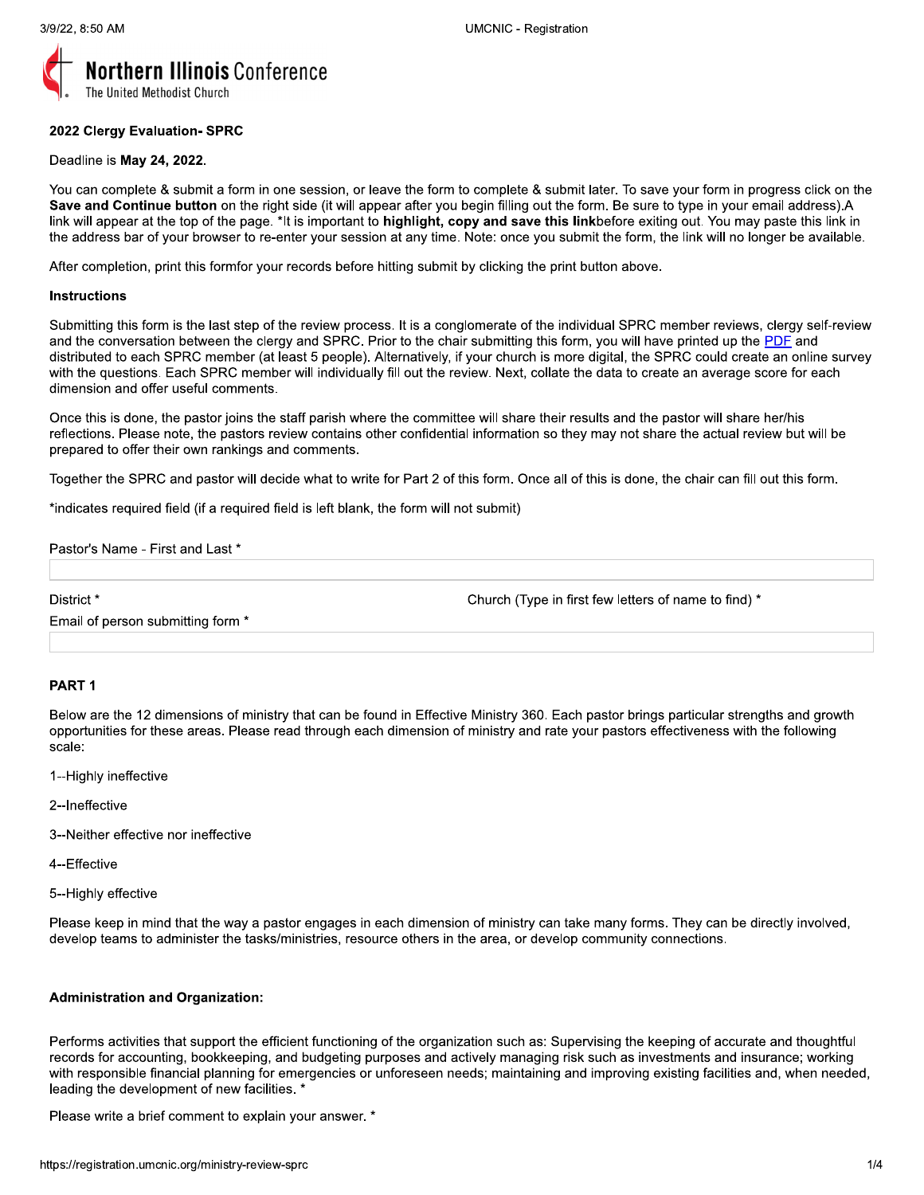

## 2022 Clergy Evaluation- SPRC

# Deadline is May 24, 2022.

You can complete & submit a form in one session, or leave the form to complete & submit later. To save your form in progress click on the Save and Continue button on the right side (it will appear after you begin filling out the form. Be sure to type in your email address).A link will appear at the top of the page. \*It is important to highlight, copy and save this linkbefore exiting out. You may paste this link in the address bar of your browser to re-enter your session at any time. Note: once you submit the form, the link will no longer be available.

After completion, print this formfor your records before hitting submit by clicking the print button above.

#### **Instructions**

Submitting this form is the last step of the review process. It is a conglomerate of the individual SPRC member reviews, clergy self-review and the conversation between the clergy and SPRC. Prior to the chair submitting this form, you will have printed up the PDF and distributed to each SPRC member (at least 5 people). Alternatively, if your church is more digital, the SPRC could create an online survey with the questions. Each SPRC member will individually fill out the review. Next, collate the data to create an average score for each dimension and offer useful comments.

Once this is done, the pastor joins the staff parish where the committee will share their results and the pastor will share her/his reflections. Please note, the pastors review contains other confidential information so they may not share the actual review but will be prepared to offer their own rankings and comments.

Together the SPRC and pastor will decide what to write for Part 2 of this form. Once all of this is done, the chair can fill out this form.

\*indicates required field (if a required field is left blank, the form will not submit)

Pastor's Name - First and Last \*

District\*

Church (Type in first few letters of name to find) \*

Email of person submitting form \*

# PART<sub>1</sub>

Below are the 12 dimensions of ministry that can be found in Effective Ministry 360. Each pastor brings particular strengths and growth opportunities for these areas. Please read through each dimension of ministry and rate your pastors effectiveness with the following scale:

- 1--Highly ineffective
- 2--Ineffective
- 3--Neither effective nor ineffective
- 4--Effective
- 5--Highly effective

Please keep in mind that the way a pastor engages in each dimension of ministry can take many forms. They can be directly involved, develop teams to administer the tasks/ministries, resource others in the area, or develop community connections.

# **Administration and Organization:**

Performs activities that support the efficient functioning of the organization such as: Supervising the keeping of accurate and thoughtful records for accounting, bookkeeping, and budgeting purposes and actively managing risk such as investments and insurance; working with responsible financial planning for emergencies or unforeseen needs; maintaining and improving existing facilities and, when needed, leading the development of new facilities. \*

Please write a brief comment to explain your answer. \*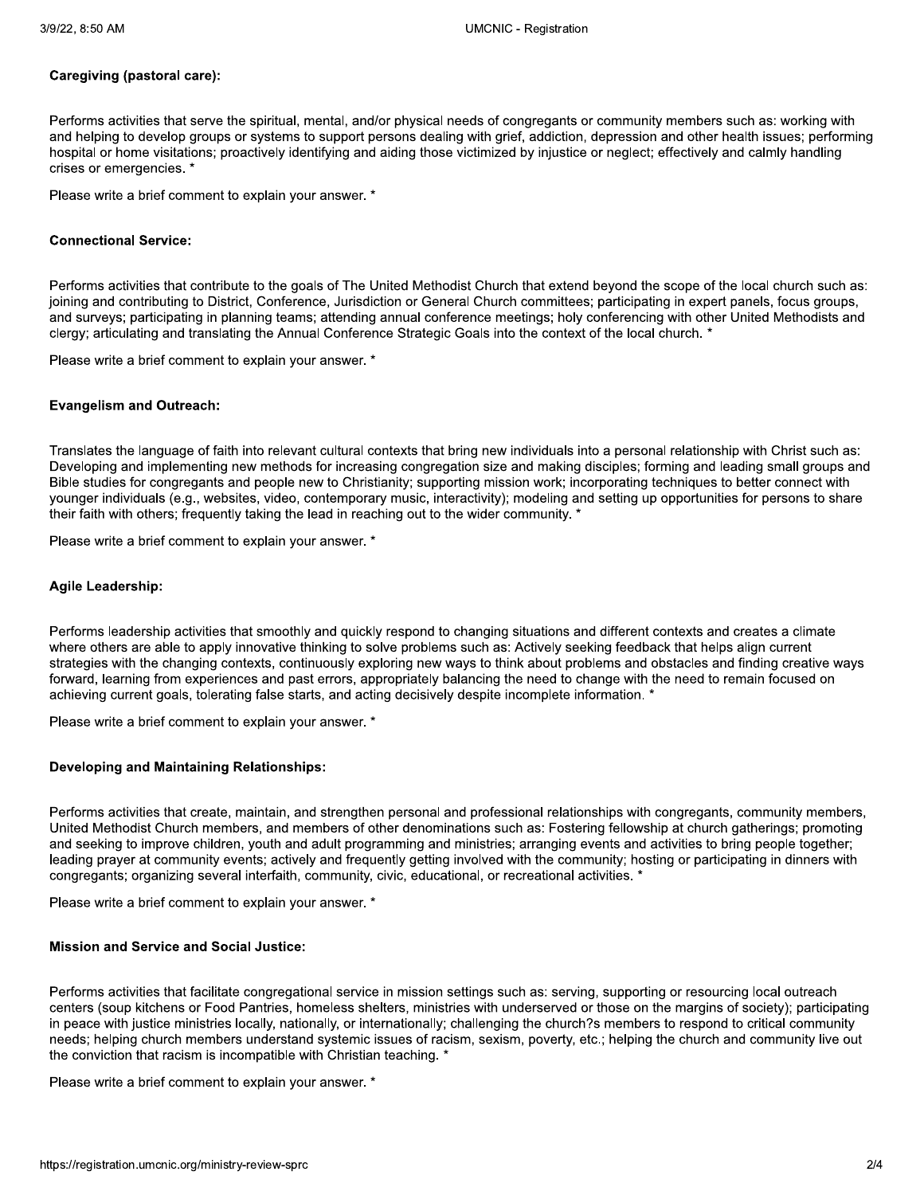## Caregiving (pastoral care):

Performs activities that serve the spiritual, mental, and/or physical needs of congregants or community members such as: working with and helping to develop groups or systems to support persons dealing with grief, addiction, depression and other health issues; performing hospital or home visitations; proactively identifying and aiding those victimized by injustice or neglect; effectively and calmly handling crises or emergencies. \*

Please write a brief comment to explain your answer. \*

### **Connectional Service:**

Performs activities that contribute to the goals of The United Methodist Church that extend beyond the scope of the local church such as: joining and contributing to District, Conference, Jurisdiction or General Church committees; participating in expert panels, focus groups, and surveys; participating in planning teams; attending annual conference meetings; holy conferencing with other United Methodists and clergy; articulating and translating the Annual Conference Strategic Goals into the context of the local church. \*

Please write a brief comment to explain your answer. \*

### **Evangelism and Outreach:**

Translates the language of faith into relevant cultural contexts that bring new individuals into a personal relationship with Christ such as: Developing and implementing new methods for increasing congregation size and making disciples; forming and leading small groups and Bible studies for congregants and people new to Christianity; supporting mission work; incorporating techniques to better connect with younger individuals (e.g., websites, video, contemporary music, interactivity); modeling and setting up opportunities for persons to share their faith with others; frequently taking the lead in reaching out to the wider community. \*

Please write a brief comment to explain your answer. \*

#### **Agile Leadership:**

Performs leadership activities that smoothly and quickly respond to changing situations and different contexts and creates a climate where others are able to apply innovative thinking to solve problems such as: Actively seeking feedback that helps align current strategies with the changing contexts, continuously exploring new ways to think about problems and obstacles and finding creative ways forward, learning from experiences and past errors, appropriately balancing the need to change with the need to remain focused on achieving current goals, tolerating false starts, and acting decisively despite incomplete information. \*

Please write a brief comment to explain your answer. \*

### **Developing and Maintaining Relationships:**

Performs activities that create, maintain, and strengthen personal and professional relationships with congregants, community members, United Methodist Church members, and members of other denominations such as: Fostering fellowship at church gatherings; promoting and seeking to improve children, youth and adult programming and ministries; arranging events and activities to bring people together; leading prayer at community events; actively and frequently getting involved with the community; hosting or participating in dinners with congregants; organizing several interfaith, community, civic, educational, or recreational activities. \*

Please write a brief comment to explain your answer. \*

# **Mission and Service and Social Justice:**

Performs activities that facilitate congregational service in mission settings such as: serving, supporting or resourcing local outreach centers (soup kitchens or Food Pantries, homeless shelters, ministries with underserved or those on the margins of society); participating in peace with justice ministries locally, nationally, or internationally; challenging the church?s members to respond to critical community needs; helping church members understand systemic issues of racism, sexism, poverty, etc.; helping the church and community live out the conviction that racism is incompatible with Christian teaching. \*

Please write a brief comment to explain your answer. \*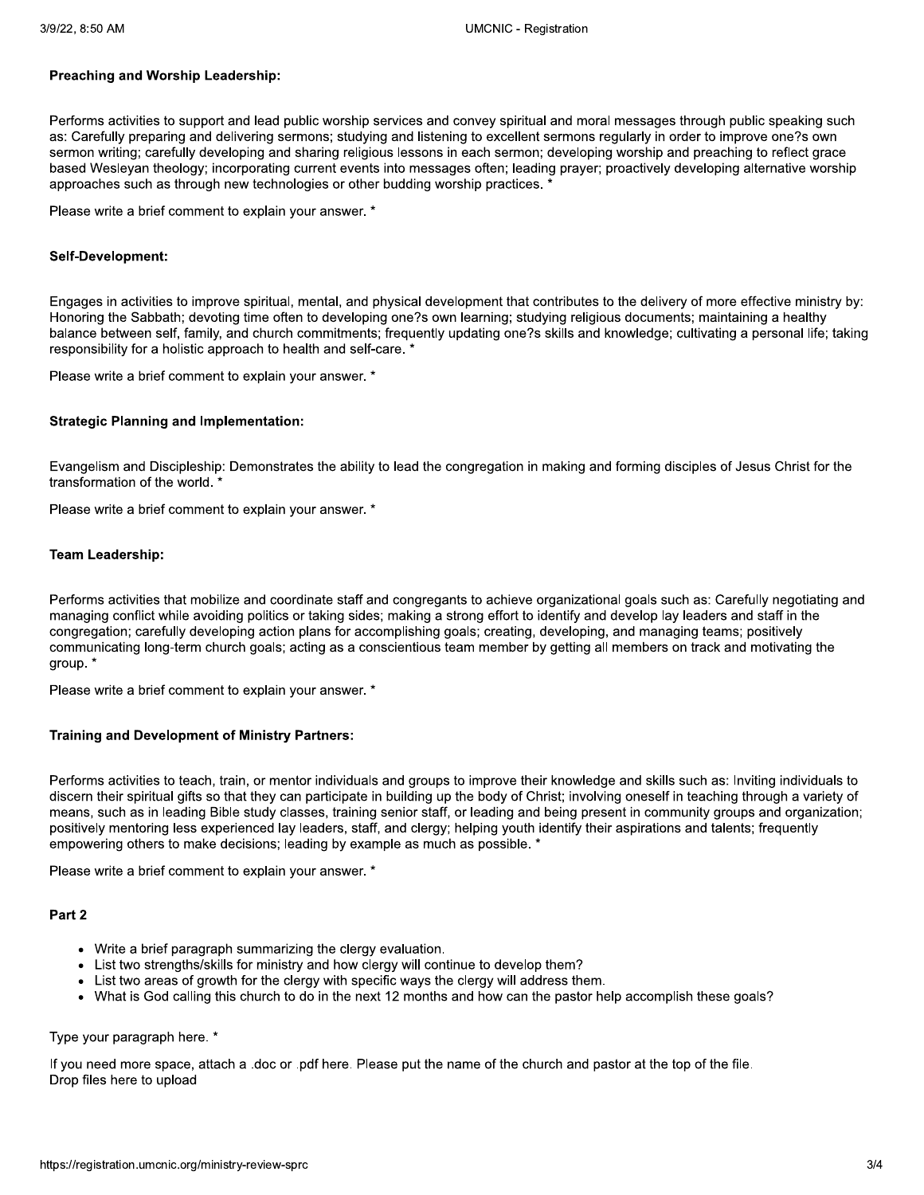## Preaching and Worship Leadership:

Performs activities to support and lead public worship services and convey spiritual and moral messages through public speaking such as: Carefully preparing and delivering sermons; studying and listening to excellent sermons regularly in order to improve one?s own sermon writing; carefully developing and sharing religious lessons in each sermon; developing worship and preaching to reflect grace based Wesleyan theology; incorporating current events into messages often; leading prayer; proactively developing alternative worship approaches such as through new technologies or other budding worship practices.

Please write a brief comment to explain your answer. \*

### Self-Development:

Engages in activities to improve spiritual, mental, and physical development that contributes to the delivery of more effective ministry by: Honoring the Sabbath; devoting time often to developing one?s own learning; studying religious documents; maintaining a healthy balance between self, family, and church commitments; frequently updating one?s skills and knowledge; cultivating a personal life; taking responsibility for a holistic approach to health and self-care. \*

Please write a brief comment to explain your answer. \*

## **Strategic Planning and Implementation:**

Evangelism and Discipleship: Demonstrates the ability to lead the congregation in making and forming disciples of Jesus Christ for the transformation of the world. \*

Please write a brief comment to explain your answer. \*

## **Team Leadership:**

Performs activities that mobilize and coordinate staff and congregants to achieve organizational goals such as: Carefully negotiating and managing conflict while avoiding politics or taking sides; making a strong effort to identify and develop lay leaders and staff in the congregation; carefully developing action plans for accomplishing goals; creating, developing, and managing teams; positively communicating long-term church goals; acting as a conscientious team member by getting all members on track and motivating the group. \*

Please write a brief comment to explain your answer. \*

### **Training and Development of Ministry Partners:**

Performs activities to teach, train, or mentor individuals and groups to improve their knowledge and skills such as: Inviting individuals to discern their spiritual gifts so that they can participate in building up the body of Christ; involving oneself in teaching through a variety of means, such as in leading Bible study classes, training senior staff, or leading and being present in community groups and organization; positively mentoring less experienced lay leaders, staff, and clergy; helping youth identify their aspirations and talents; frequently empowering others to make decisions; leading by example as much as possible. \*

Please write a brief comment to explain your answer. \*

# Part 2

- Write a brief paragraph summarizing the clergy evaluation.
- List two strengths/skills for ministry and how clergy will continue to develop them?
- List two areas of growth for the clergy with specific ways the clergy will address them.
- What is God calling this church to do in the next 12 months and how can the pastor help accomplish these goals?

# Type your paragraph here. \*

If you need more space, attach a .doc or .pdf here. Please put the name of the church and pastor at the top of the file. Drop files here to upload